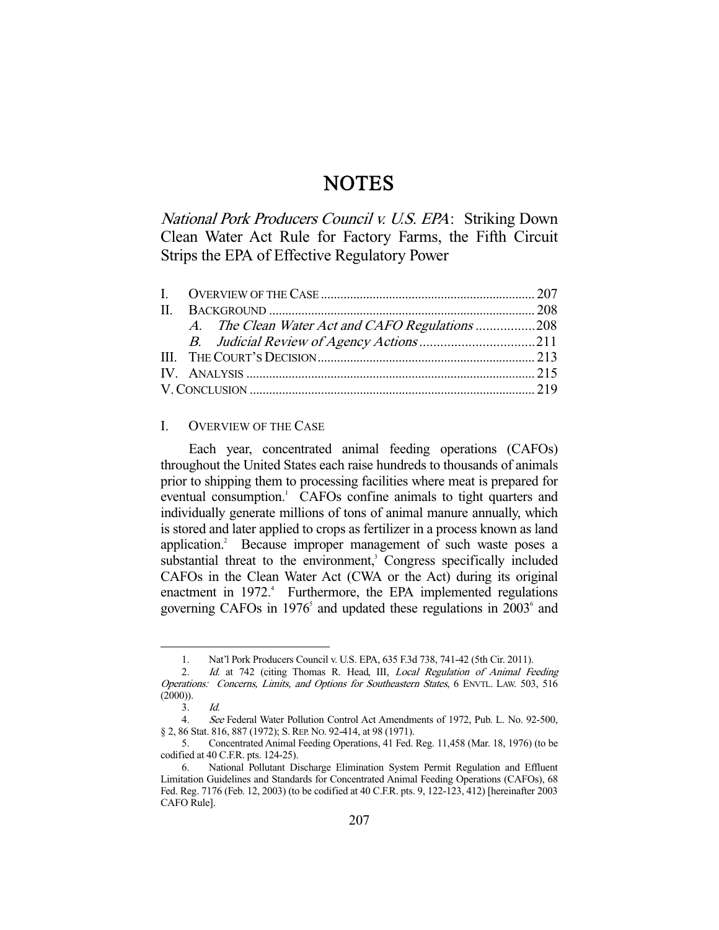# **NOTES**

National Pork Producers Council v. U.S. EPA: Striking Down Clean Water Act Rule for Factory Farms, the Fifth Circuit Strips the EPA of Effective Regulatory Power

|  |  | A. The Clean Water Act and CAFO Regulations 208 |
|--|--|-------------------------------------------------|

# I. OVERVIEW OF THE CASE

 Each year, concentrated animal feeding operations (CAFOs) throughout the United States each raise hundreds to thousands of animals prior to shipping them to processing facilities where meat is prepared for eventual consumption.<sup>1</sup> CAFOs confine animals to tight quarters and individually generate millions of tons of animal manure annually, which is stored and later applied to crops as fertilizer in a process known as land application.<sup>2</sup> Because improper management of such waste poses a substantial threat to the environment,<sup>3</sup> Congress specifically included CAFOs in the Clean Water Act (CWA or the Act) during its original enactment in 1972.<sup>4</sup> Furthermore, the EPA implemented regulations governing CAFOs in  $1976<sup>5</sup>$  and updated these regulations in  $2003<sup>6</sup>$  and

 <sup>1.</sup> Nat'l Pork Producers Council v. U.S. EPA, 635 F.3d 738, 741-42 (5th Cir. 2011).

<sup>2.</sup> Id. at 742 (citing Thomas R. Head, III, Local Regulation of Animal Feeding Operations: Concerns, Limits, and Options for Southeastern States, 6 ENVTL. LAW. 503, 516  $(2000)$ ).

 $3$   $1d$ 

 <sup>4.</sup> See Federal Water Pollution Control Act Amendments of 1972, Pub. L. No. 92-500, § 2, 86 Stat. 816, 887 (1972); S. REP. No. 92-414, at 98 (1971).

 <sup>5.</sup> Concentrated Animal Feeding Operations, 41 Fed. Reg. 11,458 (Mar. 18, 1976) (to be codified at 40 C.F.R. pts. 124-25).

 <sup>6.</sup> National Pollutant Discharge Elimination System Permit Regulation and Effluent Limitation Guidelines and Standards for Concentrated Animal Feeding Operations (CAFOs), 68 Fed. Reg. 7176 (Feb. 12, 2003) (to be codified at 40 C.F.R. pts. 9, 122-123, 412) [hereinafter 2003 CAFO Rule].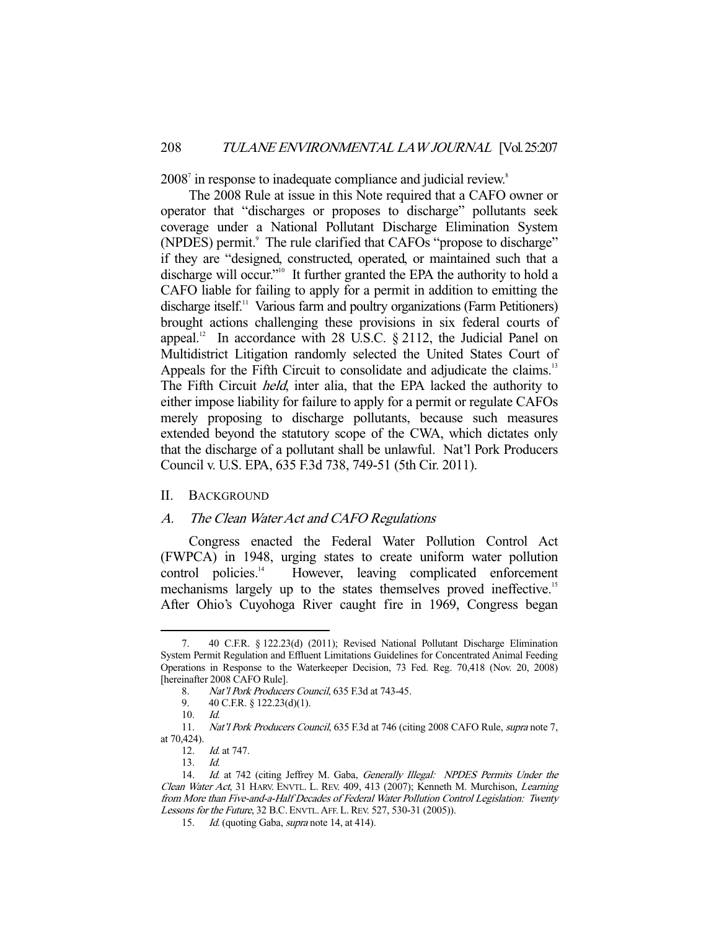2008<sup>7</sup> in response to inadequate compliance and judicial review.<sup>8</sup>

 The 2008 Rule at issue in this Note required that a CAFO owner or operator that "discharges or proposes to discharge" pollutants seek coverage under a National Pollutant Discharge Elimination System (NPDES) permit.<sup>9</sup> The rule clarified that CAFOs "propose to discharge" if they are "designed, constructed, operated, or maintained such that a discharge will occur."<sup>10</sup> It further granted the EPA the authority to hold a CAFO liable for failing to apply for a permit in addition to emitting the discharge itself.<sup>11</sup> Various farm and poultry organizations (Farm Petitioners) brought actions challenging these provisions in six federal courts of appeal.<sup>12</sup> In accordance with 28 U.S.C.  $\S$  2112, the Judicial Panel on Multidistrict Litigation randomly selected the United States Court of Appeals for the Fifth Circuit to consolidate and adjudicate the claims.<sup>13</sup> The Fifth Circuit held, inter alia, that the EPA lacked the authority to either impose liability for failure to apply for a permit or regulate CAFOs merely proposing to discharge pollutants, because such measures extended beyond the statutory scope of the CWA, which dictates only that the discharge of a pollutant shall be unlawful. Nat'l Pork Producers Council v. U.S. EPA, 635 F.3d 738, 749-51 (5th Cir. 2011).

#### II. BACKGROUND

## A. The Clean Water Act and CAFO Regulations

 Congress enacted the Federal Water Pollution Control Act (FWPCA) in 1948, urging states to create uniform water pollution control policies.<sup>14</sup> However, leaving complicated enforcement mechanisms largely up to the states themselves proved ineffective.<sup>15</sup> After Ohio's Cuyohoga River caught fire in 1969, Congress began

9. 40 C.F.R. § 122.23(d)(1).

 <sup>7. 40</sup> C.F.R. § 122.23(d) (2011); Revised National Pollutant Discharge Elimination System Permit Regulation and Effluent Limitations Guidelines for Concentrated Animal Feeding Operations in Response to the Waterkeeper Decision, 73 Fed. Reg. 70,418 (Nov. 20, 2008) [hereinafter 2008 CAFO Rule].

<sup>8.</sup> Nat'l Pork Producers Council, 635 F.3d at 743-45.

 <sup>10.</sup> Id.

 <sup>11.</sup> Nat'l Pork Producers Council, 635 F.3d at 746 (citing 2008 CAFO Rule, supra note 7, at 70,424).

 <sup>12.</sup> Id. at 747.

 <sup>13.</sup> Id.

<sup>14.</sup> Id. at 742 (citing Jeffrey M. Gaba, Generally Illegal: NPDES Permits Under the Clean Water Act, 31 HARV. ENVTL. L. REV. 409, 413 (2007); Kenneth M. Murchison, Learning from More than Five-and-a-Half Decades of Federal Water Pollution Control Legislation: Twenty Lessons for the Future, 32 B.C. ENVTL. AFF. L. REV. 527, 530-31 (2005)).

<sup>15.</sup> Id. (quoting Gaba, *supra* note 14, at 414).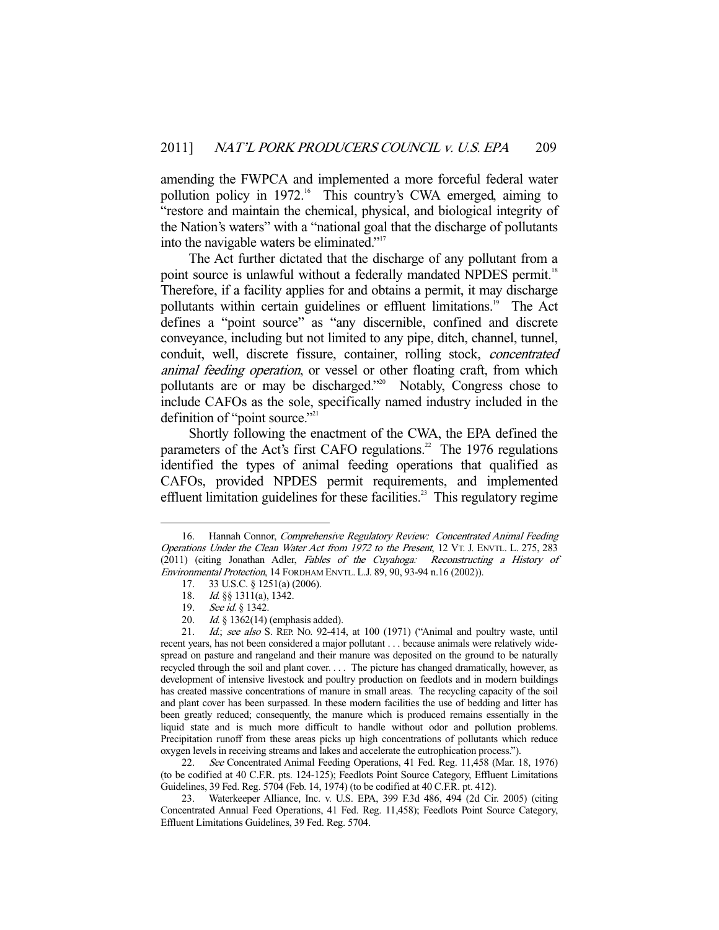amending the FWPCA and implemented a more forceful federal water pollution policy in 1972.<sup>16</sup> This country's CWA emerged, aiming to "restore and maintain the chemical, physical, and biological integrity of the Nation's waters" with a "national goal that the discharge of pollutants into the navigable waters be eliminated."17

 The Act further dictated that the discharge of any pollutant from a point source is unlawful without a federally mandated NPDES permit.<sup>18</sup> Therefore, if a facility applies for and obtains a permit, it may discharge pollutants within certain guidelines or effluent limitations.<sup>19</sup> The Act defines a "point source" as "any discernible, confined and discrete conveyance, including but not limited to any pipe, ditch, channel, tunnel, conduit, well, discrete fissure, container, rolling stock, concentrated animal feeding operation, or vessel or other floating craft, from which pollutants are or may be discharged."<sup>20</sup> Notably, Congress chose to include CAFOs as the sole, specifically named industry included in the definition of "point source." $2^{21}$ 

 Shortly following the enactment of the CWA, the EPA defined the parameters of the Act's first CAFO regulations.<sup>22</sup> The 1976 regulations identified the types of animal feeding operations that qualified as CAFOs, provided NPDES permit requirements, and implemented effluent limitation guidelines for these facilities.<sup>23</sup> This regulatory regime

-

22. See Concentrated Animal Feeding Operations, 41 Fed. Reg. 11,458 (Mar. 18, 1976) (to be codified at 40 C.F.R. pts. 124-125); Feedlots Point Source Category, Effluent Limitations Guidelines, 39 Fed. Reg. 5704 (Feb. 14, 1974) (to be codified at 40 C.F.R. pt. 412).

 23. Waterkeeper Alliance, Inc. v. U.S. EPA, 399 F.3d 486, 494 (2d Cir. 2005) (citing Concentrated Annual Feed Operations, 41 Fed. Reg. 11,458); Feedlots Point Source Category, Effluent Limitations Guidelines, 39 Fed. Reg. 5704.

<sup>16.</sup> Hannah Connor, Comprehensive Regulatory Review: Concentrated Animal Feeding Operations Under the Clean Water Act from 1972 to the Present, 12 VT. J. ENVTL. L. 275, 283 (2011) (citing Jonathan Adler, Fables of the Cuyahoga: Reconstructing a History of Environmental Protection, 14 FORDHAM ENVTL. L.J. 89, 90, 93-94 n.16 (2002)).

 <sup>17. 33</sup> U.S.C. § 1251(a) (2006).

<sup>18.</sup> *Id.* §§ 1311(a), 1342.

<sup>19.</sup> *See id.* § 1342.

<sup>20.</sup> *Id.* § 1362(14) (emphasis added).<br>21. *Id.*; *see also* S. REP. No. 92-414

Id.; see also S. REP. No. 92-414, at 100 (1971) ("Animal and poultry waste, until recent years, has not been considered a major pollutant . . . because animals were relatively widespread on pasture and rangeland and their manure was deposited on the ground to be naturally recycled through the soil and plant cover. . . . The picture has changed dramatically, however, as development of intensive livestock and poultry production on feedlots and in modern buildings has created massive concentrations of manure in small areas. The recycling capacity of the soil and plant cover has been surpassed. In these modern facilities the use of bedding and litter has been greatly reduced; consequently, the manure which is produced remains essentially in the liquid state and is much more difficult to handle without odor and pollution problems. Precipitation runoff from these areas picks up high concentrations of pollutants which reduce oxygen levels in receiving streams and lakes and accelerate the eutrophication process.").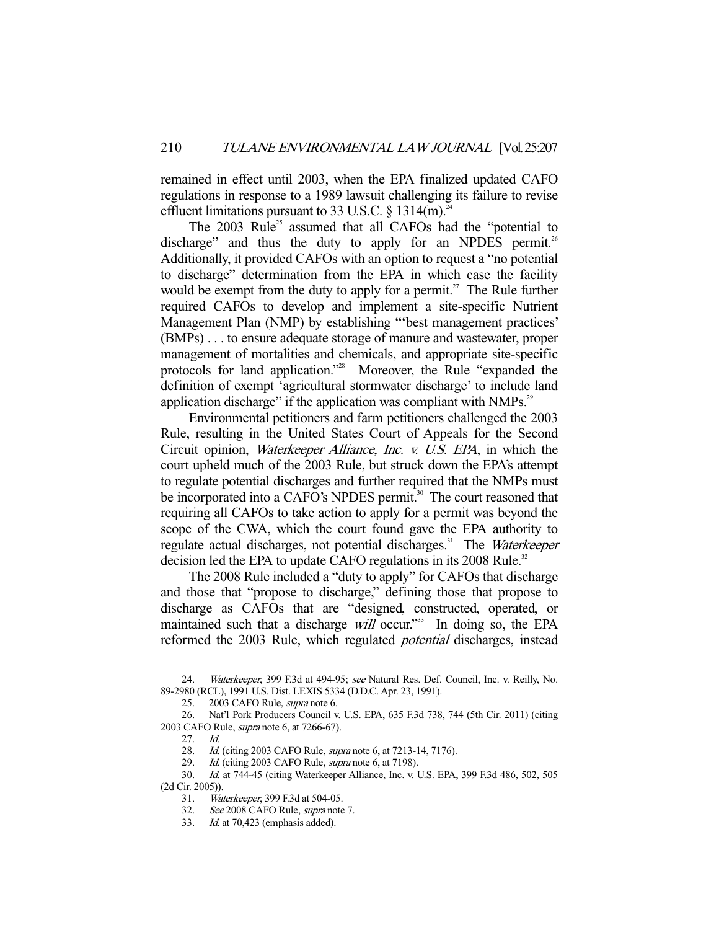remained in effect until 2003, when the EPA finalized updated CAFO regulations in response to a 1989 lawsuit challenging its failure to revise effluent limitations pursuant to 33 U.S.C.  $\S$  1314(m).<sup>2</sup>

The  $2003$  Rule<sup>25</sup> assumed that all CAFOs had the "potential to discharge" and thus the duty to apply for an NPDES permit.<sup>26</sup> Additionally, it provided CAFOs with an option to request a "no potential to discharge" determination from the EPA in which case the facility would be exempt from the duty to apply for a permit.<sup>27</sup> The Rule further required CAFOs to develop and implement a site-specific Nutrient Management Plan (NMP) by establishing "'best management practices' (BMPs) . . . to ensure adequate storage of manure and wastewater, proper management of mortalities and chemicals, and appropriate site-specific protocols for land application."28 Moreover, the Rule "expanded the definition of exempt 'agricultural stormwater discharge' to include land application discharge" if the application was compliant with NMPs.<sup>29</sup>

 Environmental petitioners and farm petitioners challenged the 2003 Rule, resulting in the United States Court of Appeals for the Second Circuit opinion, Waterkeeper Alliance, Inc. v. U.S. EPA, in which the court upheld much of the 2003 Rule, but struck down the EPA's attempt to regulate potential discharges and further required that the NMPs must be incorporated into a CAFO's NPDES permit.<sup>30</sup> The court reasoned that requiring all CAFOs to take action to apply for a permit was beyond the scope of the CWA, which the court found gave the EPA authority to regulate actual discharges, not potential discharges.<sup>31</sup> The Waterkeeper decision led the EPA to update CAFO regulations in its 2008 Rule.<sup>32</sup>

 The 2008 Rule included a "duty to apply" for CAFOs that discharge and those that "propose to discharge," defining those that propose to discharge as CAFOs that are "designed, constructed, operated, or maintained such that a discharge will occur."<sup>33</sup> In doing so, the EPA reformed the 2003 Rule, which regulated potential discharges, instead

<sup>24.</sup> Waterkeeper, 399 F.3d at 494-95; see Natural Res. Def. Council, Inc. v. Reilly, No. 89-2980 (RCL), 1991 U.S. Dist. LEXIS 5334 (D.D.C. Apr. 23, 1991).

 <sup>25. 2003</sup> CAFO Rule, supra note 6.

 <sup>26.</sup> Nat'l Pork Producers Council v. U.S. EPA, 635 F.3d 738, 744 (5th Cir. 2011) (citing 2003 CAFO Rule, supra note 6, at 7266-67).

 <sup>27.</sup> Id.

<sup>28.</sup> Id. (citing 2003 CAFO Rule, *supra* note 6, at 7213-14, 7176).

<sup>29.</sup> Id. (citing 2003 CAFO Rule, *supra* note 6, at 7198).

 <sup>30.</sup> Id. at 744-45 (citing Waterkeeper Alliance, Inc. v. U.S. EPA, 399 F.3d 486, 502, 505 (2d Cir. 2005)).

 <sup>31.</sup> Waterkeeper, 399 F.3d at 504-05.

 <sup>32.</sup> See 2008 CAFO Rule, supra note 7.

 <sup>33.</sup> Id. at 70,423 (emphasis added).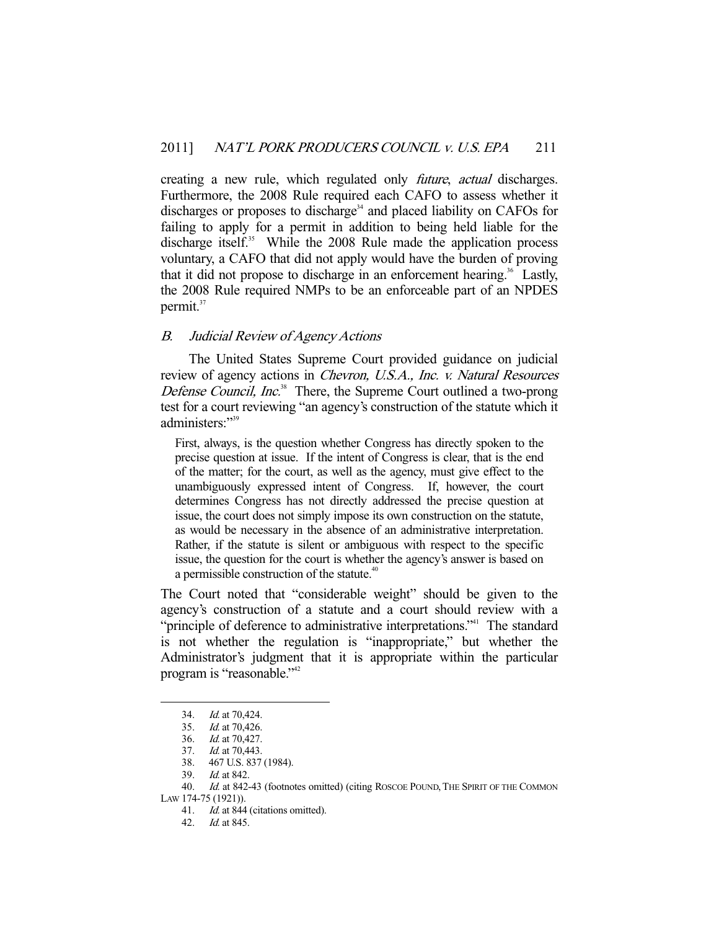creating a new rule, which regulated only *future*, *actual* discharges. Furthermore, the 2008 Rule required each CAFO to assess whether it discharges or proposes to discharge<sup>34</sup> and placed liability on CAFOs for failing to apply for a permit in addition to being held liable for the discharge itself.<sup>35</sup> While the 2008 Rule made the application process voluntary, a CAFO that did not apply would have the burden of proving that it did not propose to discharge in an enforcement hearing.<sup>36</sup> Lastly, the 2008 Rule required NMPs to be an enforceable part of an NPDES permit. $37$ 

# B. Judicial Review of Agency Actions

 The United States Supreme Court provided guidance on judicial review of agency actions in Chevron, U.S.A., Inc. v. Natural Resources Defense Council, Inc.<sup>38</sup> There, the Supreme Court outlined a two-prong test for a court reviewing "an agency's construction of the statute which it administers."39

First, always, is the question whether Congress has directly spoken to the precise question at issue. If the intent of Congress is clear, that is the end of the matter; for the court, as well as the agency, must give effect to the unambiguously expressed intent of Congress. If, however, the court determines Congress has not directly addressed the precise question at issue, the court does not simply impose its own construction on the statute, as would be necessary in the absence of an administrative interpretation. Rather, if the statute is silent or ambiguous with respect to the specific issue, the question for the court is whether the agency's answer is based on a permissible construction of the statute.<sup>40</sup>

The Court noted that "considerable weight" should be given to the agency's construction of a statute and a court should review with a "principle of deference to administrative interpretations."<sup>41</sup> The standard is not whether the regulation is "inappropriate," but whether the Administrator's judgment that it is appropriate within the particular program is "reasonable."42

 <sup>34.</sup> Id. at 70,424.

 <sup>35.</sup> Id. at 70,426.

 <sup>36.</sup> Id. at 70,427.

<sup>37.</sup> *Id.* at 70,443.

 <sup>38. 467</sup> U.S. 837 (1984).

 <sup>39.</sup> Id. at 842.

<sup>40.</sup> Id. at 842-43 (footnotes omitted) (citing ROSCOE POUND, THE SPIRIT OF THE COMMON LAW 174-75 (1921)).

<sup>41.</sup> *Id.* at 844 (citations omitted).

 <sup>42.</sup> Id. at 845.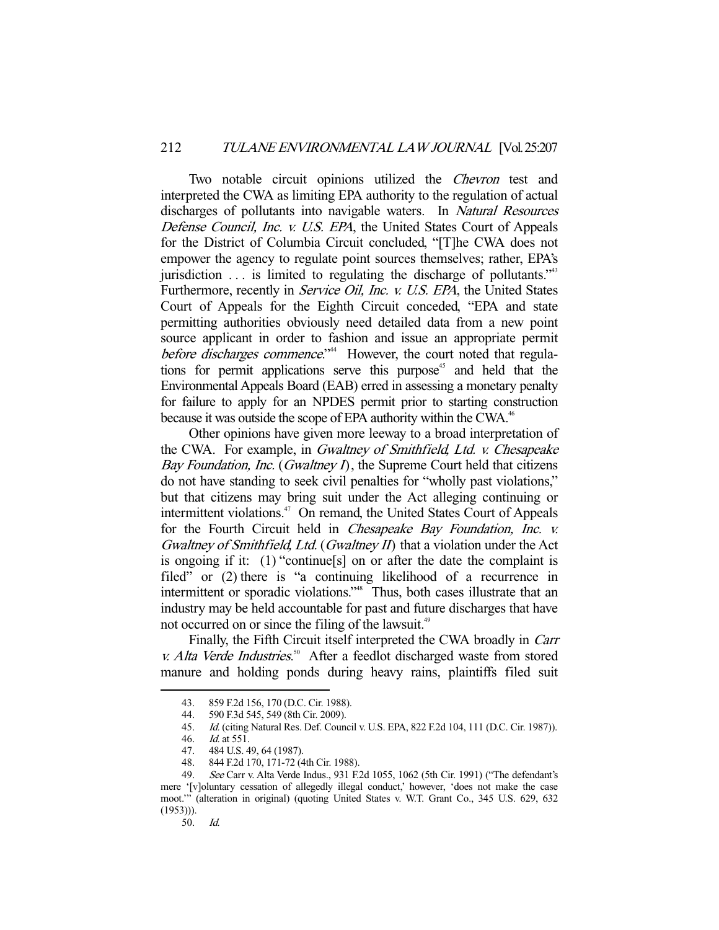Two notable circuit opinions utilized the *Chevron* test and interpreted the CWA as limiting EPA authority to the regulation of actual discharges of pollutants into navigable waters. In *Natural Resources* Defense Council, Inc. v. U.S. EPA, the United States Court of Appeals for the District of Columbia Circuit concluded, "[T]he CWA does not empower the agency to regulate point sources themselves; rather, EPA's jurisdiction  $\ldots$  is limited to regulating the discharge of pollutants.<sup> $343$ </sup> Furthermore, recently in Service Oil, Inc. v. U.S. EPA, the United States Court of Appeals for the Eighth Circuit conceded, "EPA and state permitting authorities obviously need detailed data from a new point source applicant in order to fashion and issue an appropriate permit before discharges commence."<sup>44</sup> However, the court noted that regulations for permit applications serve this purpose<sup> $45$ </sup> and held that the Environmental Appeals Board (EAB) erred in assessing a monetary penalty for failure to apply for an NPDES permit prior to starting construction because it was outside the scope of EPA authority within the CWA.<sup>46</sup>

 Other opinions have given more leeway to a broad interpretation of the CWA. For example, in Gwaltney of Smithfield, Ltd. v. Chesapeake Bay Foundation, Inc. (Gwaltney I), the Supreme Court held that citizens do not have standing to seek civil penalties for "wholly past violations," but that citizens may bring suit under the Act alleging continuing or intermittent violations.<sup>47</sup> On remand, the United States Court of Appeals for the Fourth Circuit held in Chesapeake Bay Foundation, Inc. v. Gwaltney of Smithfield, Ltd. (Gwaltney  $II$ ) that a violation under the Act is ongoing if it: (1) "continue[s] on or after the date the complaint is filed" or (2) there is "a continuing likelihood of a recurrence in intermittent or sporadic violations."<sup>48</sup> Thus, both cases illustrate that an industry may be held accountable for past and future discharges that have not occurred on or since the filing of the lawsuit.<sup>49</sup>

Finally, the Fifth Circuit itself interpreted the CWA broadly in Carr v. Alta Verde Industries.<sup>50</sup> After a feedlot discharged waste from stored manure and holding ponds during heavy rains, plaintiffs filed suit

<sup>43. 859</sup> F.2d 156, 170 (D.C. Cir. 1988).<br>44. 590 F.3d 545, 549 (8th Cir. 2009).

<sup>590</sup> F.3d 545, 549 (8th Cir. 2009).

 <sup>45.</sup> Id. (citing Natural Res. Def. Council v. U.S. EPA, 822 F.2d 104, 111 (D.C. Cir. 1987)).

<sup>46.</sup> *Id.* at 551.<br>47. 484 U.S. 4 484 U.S. 49, 64 (1987).

 <sup>48. 844</sup> F.2d 170, 171-72 (4th Cir. 1988).

 <sup>49.</sup> See Carr v. Alta Verde Indus., 931 F.2d 1055, 1062 (5th Cir. 1991) ("The defendant's mere '[v]oluntary cessation of allegedly illegal conduct,' however, 'does not make the case moot.'" (alteration in original) (quoting United States v. W.T. Grant Co., 345 U.S. 629, 632  $(1953))$ ).

 <sup>50.</sup> Id.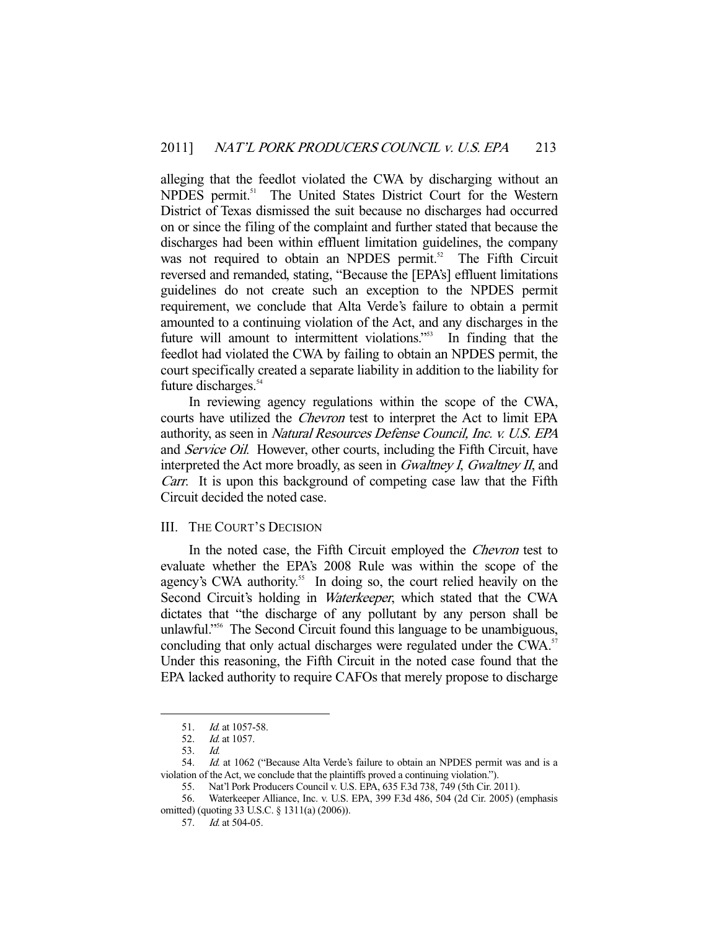alleging that the feedlot violated the CWA by discharging without an NPDES permit.<sup>51</sup> The United States District Court for the Western District of Texas dismissed the suit because no discharges had occurred on or since the filing of the complaint and further stated that because the discharges had been within effluent limitation guidelines, the company was not required to obtain an NPDES permit.<sup>52</sup> The Fifth Circuit reversed and remanded, stating, "Because the [EPA's] effluent limitations guidelines do not create such an exception to the NPDES permit requirement, we conclude that Alta Verde's failure to obtain a permit amounted to a continuing violation of the Act, and any discharges in the future will amount to intermittent violations."53 In finding that the feedlot had violated the CWA by failing to obtain an NPDES permit, the court specifically created a separate liability in addition to the liability for future discharges.<sup>54</sup>

 In reviewing agency regulations within the scope of the CWA, courts have utilized the Chevron test to interpret the Act to limit EPA authority, as seen in Natural Resources Defense Council, Inc. v. U.S. EPA and Service Oil. However, other courts, including the Fifth Circuit, have interpreted the Act more broadly, as seen in *Gwaltney I, Gwaltney II*, and Carr. It is upon this background of competing case law that the Fifth Circuit decided the noted case.

#### III. THE COURT'S DECISION

 In the noted case, the Fifth Circuit employed the Chevron test to evaluate whether the EPA's 2008 Rule was within the scope of the agency's CWA authority.<sup>55</sup> In doing so, the court relied heavily on the Second Circuit's holding in *Waterkeeper*, which stated that the CWA dictates that "the discharge of any pollutant by any person shall be unlawful."<sup>56</sup> The Second Circuit found this language to be unambiguous, concluding that only actual discharges were regulated under the CWA.<sup>57</sup> Under this reasoning, the Fifth Circuit in the noted case found that the EPA lacked authority to require CAFOs that merely propose to discharge

 <sup>51.</sup> Id. at 1057-58.

 <sup>52.</sup> Id. at 1057.

 <sup>53.</sup> Id.

<sup>54.</sup> *Id.* at 1062 ("Because Alta Verde's failure to obtain an NPDES permit was and is a violation of the Act, we conclude that the plaintiffs proved a continuing violation.").

 <sup>55.</sup> Nat'l Pork Producers Council v. U.S. EPA, 635 F.3d 738, 749 (5th Cir. 2011).

 <sup>56.</sup> Waterkeeper Alliance, Inc. v. U.S. EPA, 399 F.3d 486, 504 (2d Cir. 2005) (emphasis omitted) (quoting 33 U.S.C. § 1311(a) (2006)).

 <sup>57.</sup> Id. at 504-05.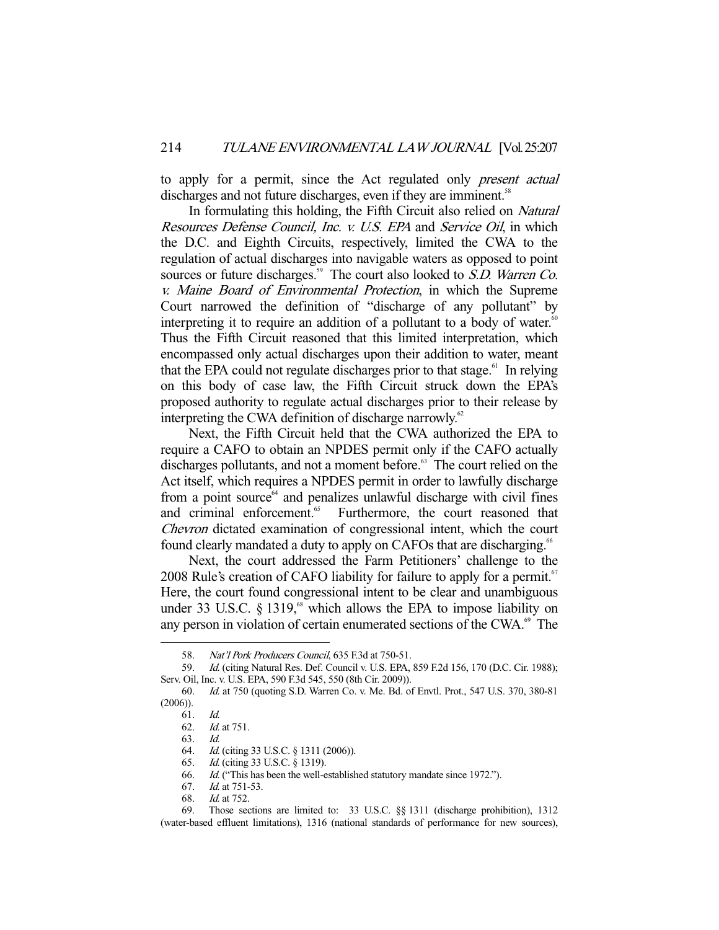to apply for a permit, since the Act regulated only *present actual* discharges and not future discharges, even if they are imminent.<sup>58</sup>

In formulating this holding, the Fifth Circuit also relied on Natural Resources Defense Council, Inc. v. U.S. EPA and Service Oil, in which the D.C. and Eighth Circuits, respectively, limited the CWA to the regulation of actual discharges into navigable waters as opposed to point sources or future discharges.<sup>59</sup> The court also looked to *S.D. Warren Co.* v. Maine Board of Environmental Protection, in which the Supreme Court narrowed the definition of "discharge of any pollutant" by interpreting it to require an addition of a pollutant to a body of water.<sup>60</sup> Thus the Fifth Circuit reasoned that this limited interpretation, which encompassed only actual discharges upon their addition to water, meant that the EPA could not regulate discharges prior to that stage.<sup> $61$ </sup> In relying on this body of case law, the Fifth Circuit struck down the EPA's proposed authority to regulate actual discharges prior to their release by interpreting the CWA definition of discharge narrowly. $62$ 

 Next, the Fifth Circuit held that the CWA authorized the EPA to require a CAFO to obtain an NPDES permit only if the CAFO actually discharges pollutants, and not a moment before.<sup>63</sup> The court relied on the Act itself, which requires a NPDES permit in order to lawfully discharge from a point source $64$  and penalizes unlawful discharge with civil fines and criminal enforcement.<sup>65</sup> Furthermore, the court reasoned that Chevron dictated examination of congressional intent, which the court found clearly mandated a duty to apply on CAFOs that are discharging.<sup>66</sup>

 Next, the court addressed the Farm Petitioners' challenge to the 2008 Rule's creation of CAFO liability for failure to apply for a permit.<sup>67</sup> Here, the court found congressional intent to be clear and unambiguous under 33 U.S.C.  $\S$  1319,<sup>68</sup> which allows the EPA to impose liability on any person in violation of certain enumerated sections of the CWA.<sup>69</sup> The

 <sup>58.</sup> Nat'l Pork Producers Council, 635 F.3d at 750-51.

 <sup>59.</sup> Id. (citing Natural Res. Def. Council v. U.S. EPA, 859 F.2d 156, 170 (D.C. Cir. 1988); Serv. Oil, Inc. v. U.S. EPA, 590 F.3d 545, 550 (8th Cir. 2009)).

 <sup>60.</sup> Id. at 750 (quoting S.D. Warren Co. v. Me. Bd. of Envtl. Prot., 547 U.S. 370, 380-81  $(2006)$ ).

 <sup>61.</sup> Id.

 <sup>62.</sup> Id. at 751.

 <sup>63.</sup> Id.

Id. (citing 33 U.S.C. § 1311 (2006)).

 <sup>65.</sup> Id. (citing 33 U.S.C. § 1319).

 <sup>66.</sup> Id. ("This has been the well-established statutory mandate since 1972.").

 <sup>67.</sup> Id. at 751-53.

 <sup>68.</sup> Id. at 752.

 <sup>69.</sup> Those sections are limited to: 33 U.S.C. §§ 1311 (discharge prohibition), 1312 (water-based effluent limitations), 1316 (national standards of performance for new sources),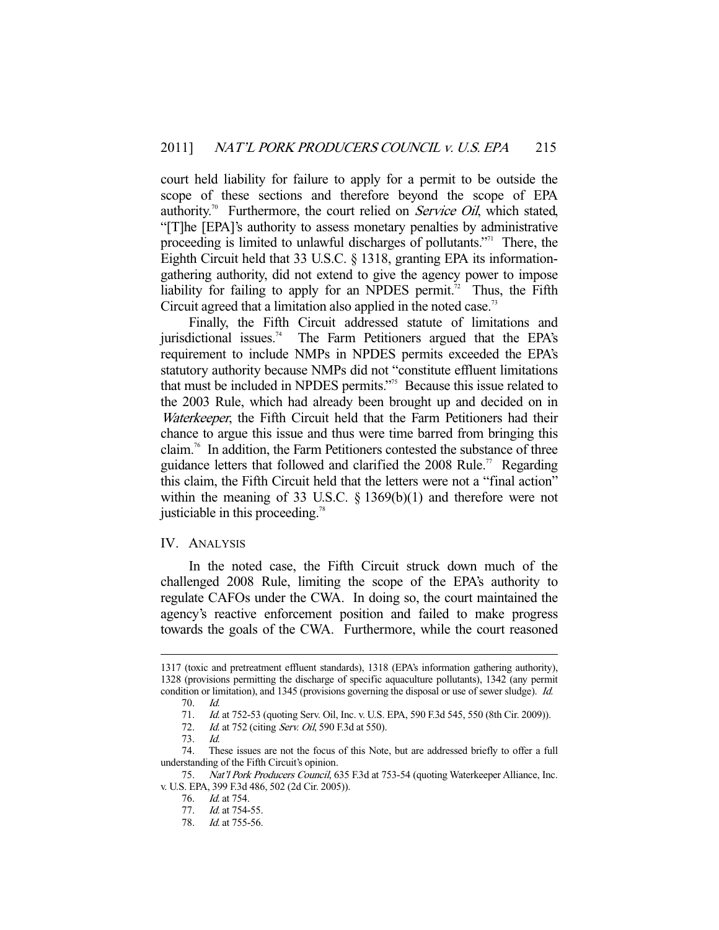court held liability for failure to apply for a permit to be outside the scope of these sections and therefore beyond the scope of EPA authority.<sup>70</sup> Furthermore, the court relied on *Service Oil*, which stated, "[T]he [EPA]'s authority to assess monetary penalties by administrative proceeding is limited to unlawful discharges of pollutants."71 There, the Eighth Circuit held that 33 U.S.C. § 1318, granting EPA its informationgathering authority, did not extend to give the agency power to impose liability for failing to apply for an NPDES permit.<sup>72</sup> Thus, the Fifth Circuit agreed that a limitation also applied in the noted case.<sup>73</sup>

 Finally, the Fifth Circuit addressed statute of limitations and iurisdictional issues.<sup>74</sup> The Farm Petitioners argued that the EPA's requirement to include NMPs in NPDES permits exceeded the EPA's statutory authority because NMPs did not "constitute effluent limitations that must be included in NPDES permits."75 Because this issue related to the 2003 Rule, which had already been brought up and decided on in Waterkeeper, the Fifth Circuit held that the Farm Petitioners had their chance to argue this issue and thus were time barred from bringing this claim.<sup>76</sup> In addition, the Farm Petitioners contested the substance of three guidance letters that followed and clarified the 2008 Rule.<sup>77</sup> Regarding this claim, the Fifth Circuit held that the letters were not a "final action" within the meaning of 33 U.S.C. § 1369(b)(1) and therefore were not justiciable in this proceeding.<sup>78</sup>

#### IV. ANALYSIS

 In the noted case, the Fifth Circuit struck down much of the challenged 2008 Rule, limiting the scope of the EPA's authority to regulate CAFOs under the CWA. In doing so, the court maintained the agency's reactive enforcement position and failed to make progress towards the goals of the CWA. Furthermore, while the court reasoned

<sup>1317 (</sup>toxic and pretreatment effluent standards), 1318 (EPA's information gathering authority), 1328 (provisions permitting the discharge of specific aquaculture pollutants), 1342 (any permit condition or limitation), and 1345 (provisions governing the disposal or use of sewer sludge). Id. 70. Id.

<sup>71.</sup> *Id.* at 752-53 (quoting Serv. Oil, Inc. v. U.S. EPA, 590 F.3d 545, 550 (8th Cir. 2009)).

<sup>72.</sup> *Id.* at 752 (citing Serv. Oil, 590 F.3d at 550).

 <sup>73.</sup> Id.

 <sup>74.</sup> These issues are not the focus of this Note, but are addressed briefly to offer a full understanding of the Fifth Circuit's opinion.

<sup>75.</sup> Nat'l Pork Producers Council, 635 F.3d at 753-54 (quoting Waterkeeper Alliance, Inc. v. U.S. EPA, 399 F.3d 486, 502 (2d Cir. 2005)).

 <sup>76.</sup> Id. at 754.

 <sup>77.</sup> Id. at 754-55.

 <sup>78.</sup> Id. at 755-56.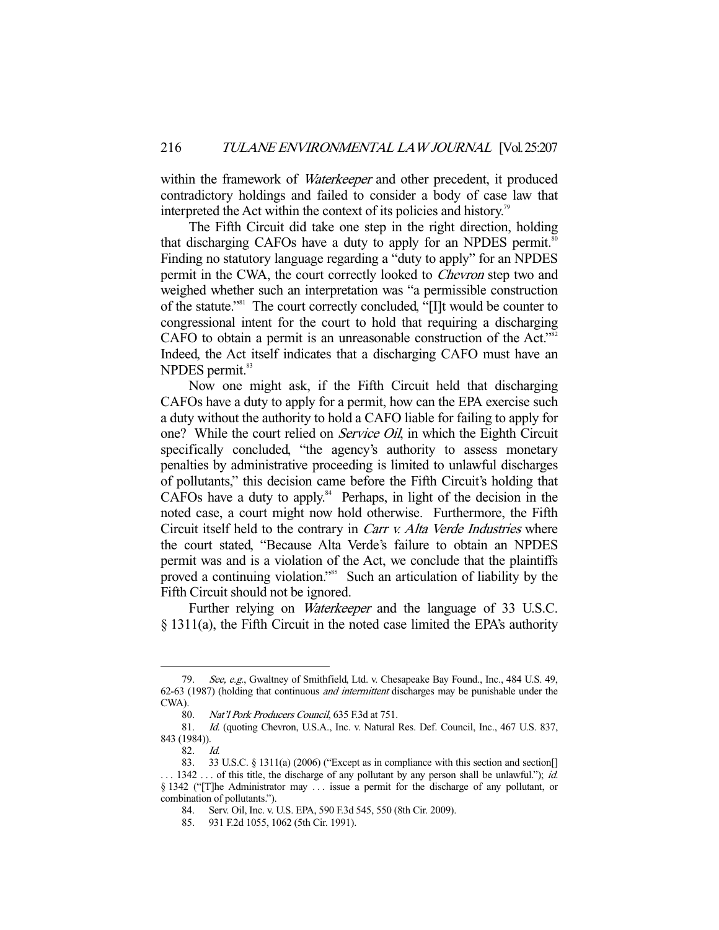within the framework of *Waterkeeper* and other precedent, it produced contradictory holdings and failed to consider a body of case law that interpreted the Act within the context of its policies and history.<sup>79</sup>

 The Fifth Circuit did take one step in the right direction, holding that discharging CAFOs have a duty to apply for an NPDES permit.<sup>80</sup> Finding no statutory language regarding a "duty to apply" for an NPDES permit in the CWA, the court correctly looked to Chevron step two and weighed whether such an interpretation was "a permissible construction of the statute."81 The court correctly concluded, "[I]t would be counter to congressional intent for the court to hold that requiring a discharging CAFO to obtain a permit is an unreasonable construction of the Act."<sup>82</sup> Indeed, the Act itself indicates that a discharging CAFO must have an  $N$ PDES permit. $83$ 

 Now one might ask, if the Fifth Circuit held that discharging CAFOs have a duty to apply for a permit, how can the EPA exercise such a duty without the authority to hold a CAFO liable for failing to apply for one? While the court relied on Service Oil, in which the Eighth Circuit specifically concluded, "the agency's authority to assess monetary penalties by administrative proceeding is limited to unlawful discharges of pollutants," this decision came before the Fifth Circuit's holding that CAFOs have a duty to apply. $84$  Perhaps, in light of the decision in the noted case, a court might now hold otherwise. Furthermore, the Fifth Circuit itself held to the contrary in *Carr v. Alta Verde Industries* where the court stated, "Because Alta Verde's failure to obtain an NPDES permit was and is a violation of the Act, we conclude that the plaintiffs proved a continuing violation."<sup>85</sup> Such an articulation of liability by the Fifth Circuit should not be ignored.

Further relying on *Waterkeeper* and the language of 33 U.S.C. § 1311(a), the Fifth Circuit in the noted case limited the EPA's authority

 <sup>79.</sup> See, e.g., Gwaltney of Smithfield, Ltd. v. Chesapeake Bay Found., Inc., 484 U.S. 49, 62-63 (1987) (holding that continuous and intermittent discharges may be punishable under the CWA).

 <sup>80.</sup> Nat'l Pork Producers Council, 635 F.3d at 751.

 <sup>81.</sup> Id. (quoting Chevron, U.S.A., Inc. v. Natural Res. Def. Council, Inc., 467 U.S. 837, 843 (1984)).

 $82.$  Id.

 <sup>83. 33</sup> U.S.C. § 1311(a) (2006) ("Except as in compliance with this section and section[]  $\ldots$  1342  $\ldots$  of this title, the discharge of any pollutant by any person shall be unlawful."); *id.* § 1342 ("[T]he Administrator may . . . issue a permit for the discharge of any pollutant, or combination of pollutants.").

 <sup>84.</sup> Serv. Oil, Inc. v. U.S. EPA, 590 F.3d 545, 550 (8th Cir. 2009).

 <sup>85. 931</sup> F.2d 1055, 1062 (5th Cir. 1991).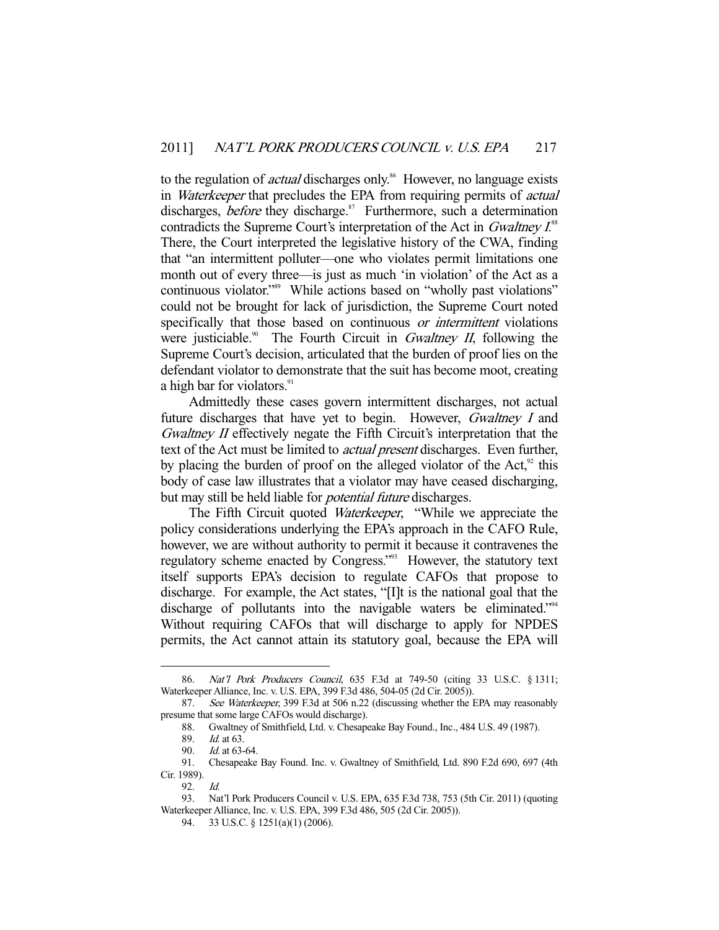to the regulation of *actual* discharges only.<sup>86</sup> However, no language exists in Waterkeeper that precludes the EPA from requiring permits of actual discharges, *before* they discharge.<sup>87</sup> Furthermore, such a determination contradicts the Supreme Court's interpretation of the Act in Gwaltney I.<sup>88</sup> There, the Court interpreted the legislative history of the CWA, finding that "an intermittent polluter—one who violates permit limitations one month out of every three—is just as much 'in violation' of the Act as a continuous violator."<sup>89</sup> While actions based on "wholly past violations" could not be brought for lack of jurisdiction, the Supreme Court noted specifically that those based on continuous or intermittent violations were justiciable.<sup>90</sup> The Fourth Circuit in *Gwaltney II*, following the Supreme Court's decision, articulated that the burden of proof lies on the defendant violator to demonstrate that the suit has become moot, creating a high bar for violators.<sup>91</sup>

 Admittedly these cases govern intermittent discharges, not actual future discharges that have yet to begin. However, *Gwaltney I* and Gwaltney II effectively negate the Fifth Circuit's interpretation that the text of the Act must be limited to *actual present* discharges. Even further, by placing the burden of proof on the alleged violator of the Act, $92$  this body of case law illustrates that a violator may have ceased discharging, but may still be held liable for *potential future* discharges.

The Fifth Circuit quoted *Waterkeeper*, "While we appreciate the policy considerations underlying the EPA's approach in the CAFO Rule, however, we are without authority to permit it because it contravenes the regulatory scheme enacted by Congress."<sup>93</sup> However, the statutory text itself supports EPA's decision to regulate CAFOs that propose to discharge. For example, the Act states, "[I]t is the national goal that the discharge of pollutants into the navigable waters be eliminated."<sup>94</sup> Without requiring CAFOs that will discharge to apply for NPDES permits, the Act cannot attain its statutory goal, because the EPA will

 <sup>86.</sup> Nat'l Pork Producers Council, 635 F.3d at 749-50 (citing 33 U.S.C. § 1311; Waterkeeper Alliance, Inc. v. U.S. EPA, 399 F.3d 486, 504-05 (2d Cir. 2005)).

 <sup>87.</sup> See Waterkeeper, 399 F.3d at 506 n.22 (discussing whether the EPA may reasonably presume that some large CAFOs would discharge).

 <sup>88.</sup> Gwaltney of Smithfield, Ltd. v. Chesapeake Bay Found., Inc., 484 U.S. 49 (1987).

<sup>89.</sup> *Id.* at 63.<br>90. *Id.* at 63. *Id.* at 63-64.

 <sup>91.</sup> Chesapeake Bay Found. Inc. v. Gwaltney of Smithfield, Ltd. 890 F.2d 690, 697 (4th Cir. 1989).

 <sup>92.</sup> Id.

 <sup>93.</sup> Nat'l Pork Producers Council v. U.S. EPA, 635 F.3d 738, 753 (5th Cir. 2011) (quoting Waterkeeper Alliance, Inc. v. U.S. EPA, 399 F.3d 486, 505 (2d Cir. 2005)).

 <sup>94. 33</sup> U.S.C. § 1251(a)(1) (2006).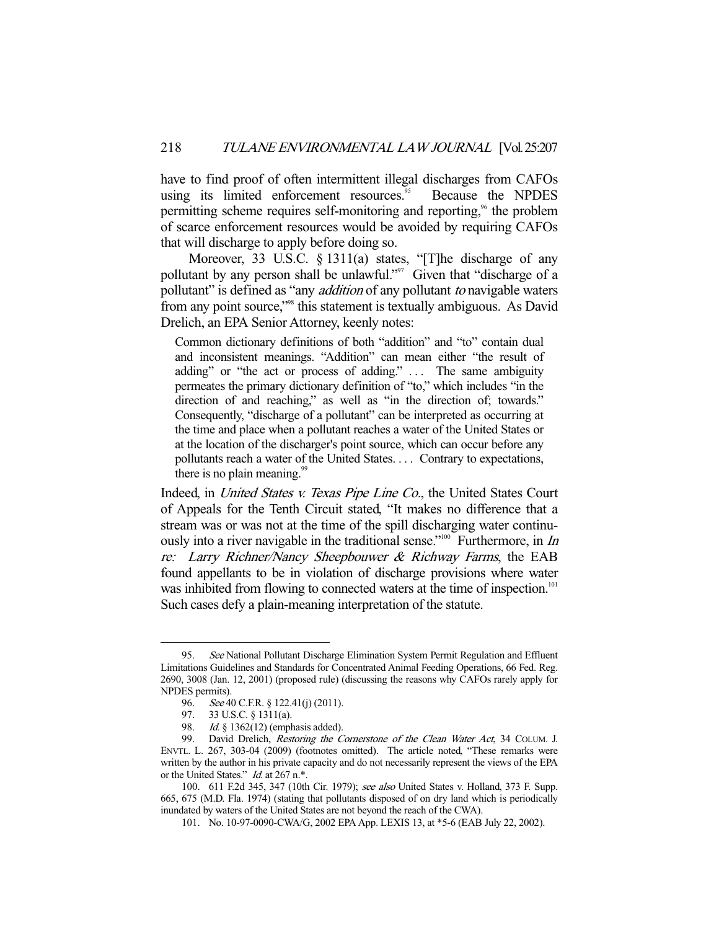have to find proof of often intermittent illegal discharges from CAFOs using its limited enforcement resources.<sup>95</sup> Because the NPDES permitting scheme requires self-monitoring and reporting,<sup>96</sup> the problem of scarce enforcement resources would be avoided by requiring CAFOs that will discharge to apply before doing so.

Moreover, 33 U.S.C. § 1311(a) states, "[T]he discharge of any pollutant by any person shall be unlawful."97 Given that "discharge of a pollutant" is defined as "any *addition* of any pollutant to navigable waters from any point source,"98 this statement is textually ambiguous. As David Drelich, an EPA Senior Attorney, keenly notes:

Common dictionary definitions of both "addition" and "to" contain dual and inconsistent meanings. "Addition" can mean either "the result of adding" or "the act or process of adding." ... The same ambiguity permeates the primary dictionary definition of "to," which includes "in the direction of and reaching," as well as "in the direction of; towards." Consequently, "discharge of a pollutant" can be interpreted as occurring at the time and place when a pollutant reaches a water of the United States or at the location of the discharger's point source, which can occur before any pollutants reach a water of the United States. . . . Contrary to expectations, there is no plain meaning.<sup>99</sup>

Indeed, in United States v. Texas Pipe Line Co., the United States Court of Appeals for the Tenth Circuit stated, "It makes no difference that a stream was or was not at the time of the spill discharging water continuously into a river navigable in the traditional sense."<sup>100</sup> Furthermore, in In re: Larry Richner/Nancy Sheepbouwer & Richway Farms, the EAB found appellants to be in violation of discharge provisions where water was inhibited from flowing to connected waters at the time of inspection.<sup>101</sup> Such cases defy a plain-meaning interpretation of the statute.

<sup>95.</sup> See National Pollutant Discharge Elimination System Permit Regulation and Effluent Limitations Guidelines and Standards for Concentrated Animal Feeding Operations, 66 Fed. Reg. 2690, 3008 (Jan. 12, 2001) (proposed rule) (discussing the reasons why CAFOs rarely apply for NPDES permits).

<sup>96.</sup> See 40 C.F.R. § 122.41(j) (2011).

 <sup>97. 33</sup> U.S.C. § 1311(a).

<sup>98.</sup> Id. § 1362(12) (emphasis added).

<sup>99.</sup> David Drelich, Restoring the Cornerstone of the Clean Water Act, 34 COLUM. J. ENVTL. L. 267, 303-04 (2009) (footnotes omitted). The article noted, "These remarks were written by the author in his private capacity and do not necessarily represent the views of the EPA or the United States." Id. at 267 n.\*.

 <sup>100. 611</sup> F.2d 345, 347 (10th Cir. 1979); see also United States v. Holland, 373 F. Supp. 665, 675 (M.D. Fla. 1974) (stating that pollutants disposed of on dry land which is periodically inundated by waters of the United States are not beyond the reach of the CWA).

 <sup>101.</sup> No. 10-97-0090-CWA/G, 2002 EPA App. LEXIS 13, at \*5-6 (EAB July 22, 2002).